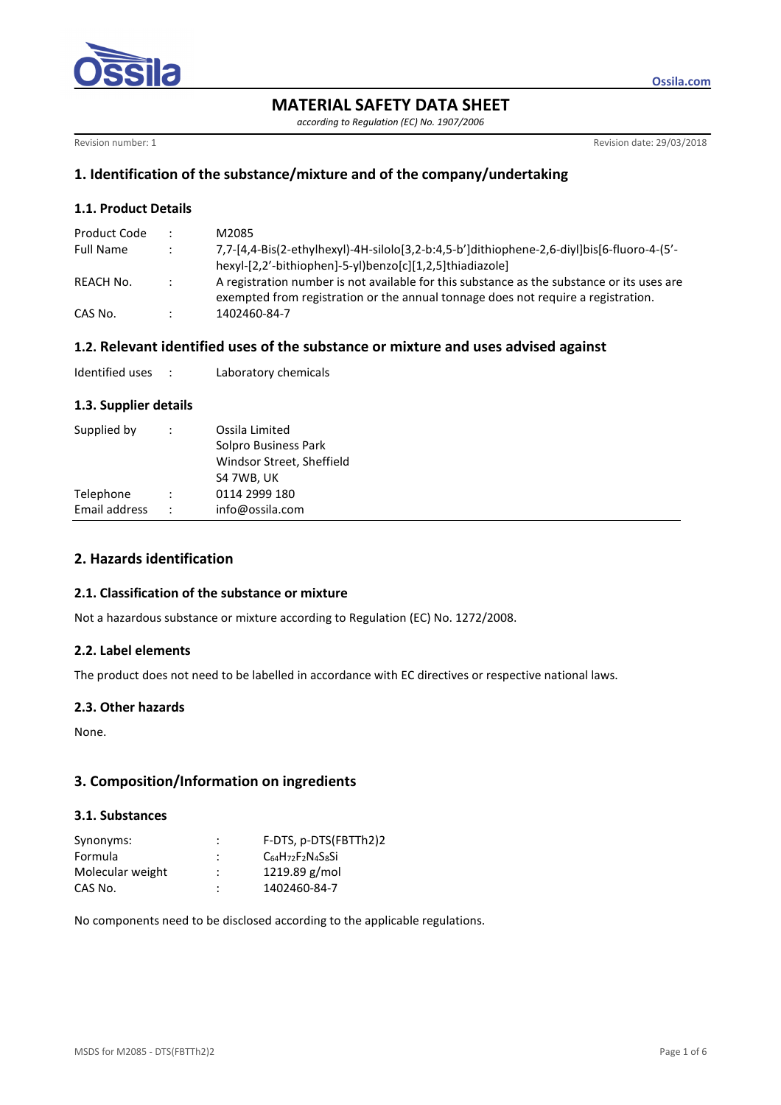

*according to Regulation (EC) No. 1907/2006* 

Revision number: 1 Revision date: 29/03/2018

**Ossila.com**

# **1. Identification of the substance/mixture and of the company/undertaking**

## **1.1. Product Details**

| Product Code     |                      | M2085                                                                                                                                                                           |
|------------------|----------------------|---------------------------------------------------------------------------------------------------------------------------------------------------------------------------------|
| <b>Full Name</b> | $\ddot{\phantom{1}}$ | 7,7-[4,4-Bis(2-ethylhexyl)-4H-silolo[3,2-b:4,5-b']dithiophene-2,6-diyl]bis[6-fluoro-4-(5'-                                                                                      |
|                  |                      | hexyl-[2,2'-bithiophen]-5-yl)benzo[c][1,2,5]thiadiazole]                                                                                                                        |
| REACH No.        |                      | A registration number is not available for this substance as the substance or its uses are<br>exempted from registration or the annual tonnage does not require a registration. |
| CAS No.          | $\bullet$            | 1402460-84-7                                                                                                                                                                    |

## **1.2. Relevant identified uses of the substance or mixture and uses advised against**

| Identified uses |  | Laboratory chemicals |
|-----------------|--|----------------------|
|-----------------|--|----------------------|

#### **1.3. Supplier details**

| Supplied by   | $\ddot{\phantom{0}}$ | Ossila Limited<br>Solpro Business Park<br>Windsor Street, Sheffield<br>S4 7WB, UK |
|---------------|----------------------|-----------------------------------------------------------------------------------|
| Telephone     |                      | 0114 2999 180                                                                     |
| Email address |                      | info@ossila.com                                                                   |

# **2. Hazards identification**

#### **2.1. Classification of the substance or mixture**

Not a hazardous substance or mixture according to Regulation (EC) No. 1272/2008.

#### **2.2. Label elements**

The product does not need to be labelled in accordance with EC directives or respective national laws.

#### **2.3. Other hazards**

None.

## **3. Composition/Information on ingredients**

## **3.1. Substances**

| Synonyms:        | :              | F-DTS, p-DTS(FBTTh2)2      |
|------------------|----------------|----------------------------|
| Formula          | ٠<br>٠         | $C_{64}H_{72}F_2N_4S_8S_1$ |
| Molecular weight | $\bullet$<br>٠ | $1219.89$ g/mol            |
| CAS No.          | ٠<br>٠         | 1402460-84-7               |

No components need to be disclosed according to the applicable regulations.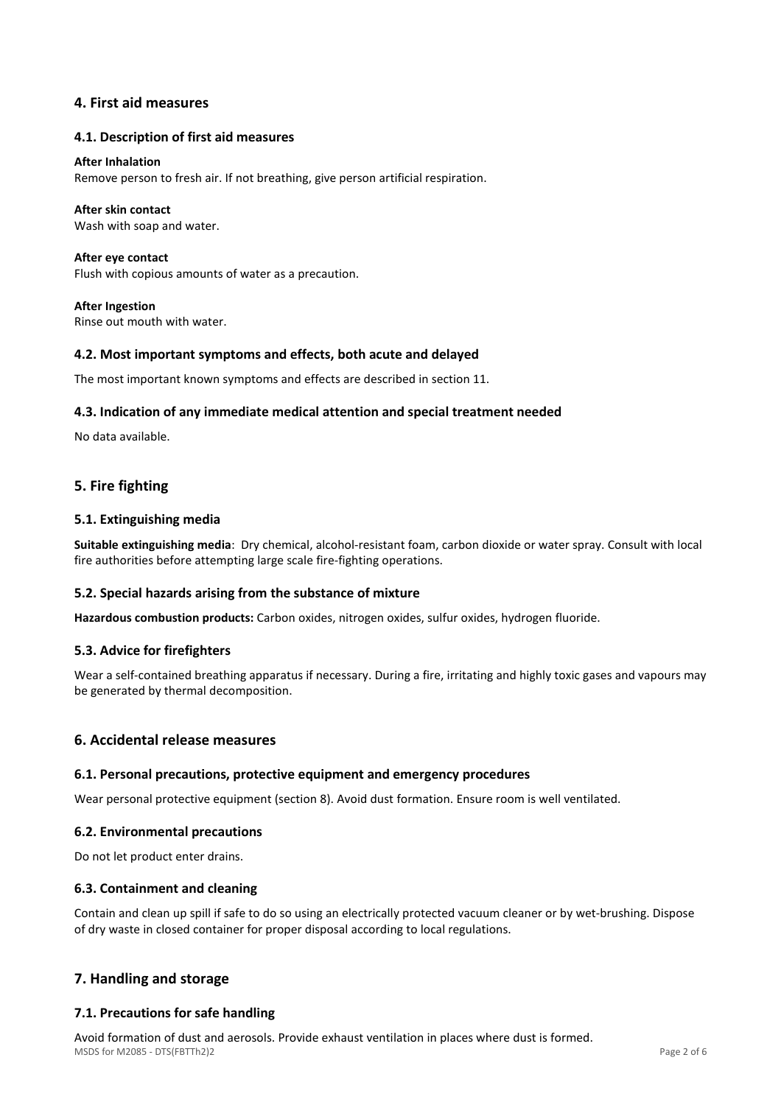## **4. First aid measures**

## **4.1. Description of first aid measures**

#### **After Inhalation**

Remove person to fresh air. If not breathing, give person artificial respiration.

### **After skin contact**

Wash with soap and water.

**After eye contact**  Flush with copious amounts of water as a precaution.

**After Ingestion**  Rinse out mouth with water.

## **4.2. Most important symptoms and effects, both acute and delayed**

The most important known symptoms and effects are described in section 11.

## **4.3. Indication of any immediate medical attention and special treatment needed**

No data available.

# **5. Fire fighting**

## **5.1. Extinguishing media**

**Suitable extinguishing media**: Dry chemical, alcohol-resistant foam, carbon dioxide or water spray. Consult with local fire authorities before attempting large scale fire-fighting operations.

#### **5.2. Special hazards arising from the substance of mixture**

**Hazardous combustion products:** Carbon oxides, nitrogen oxides, sulfur oxides, hydrogen fluoride.

#### **5.3. Advice for firefighters**

Wear a self-contained breathing apparatus if necessary. During a fire, irritating and highly toxic gases and vapours may be generated by thermal decomposition.

## **6. Accidental release measures**

#### **6.1. Personal precautions, protective equipment and emergency procedures**

Wear personal protective equipment (section 8). Avoid dust formation. Ensure room is well ventilated.

#### **6.2. Environmental precautions**

Do not let product enter drains.

#### **6.3. Containment and cleaning**

Contain and clean up spill if safe to do so using an electrically protected vacuum cleaner or by wet-brushing. Dispose of dry waste in closed container for proper disposal according to local regulations.

# **7. Handling and storage**

## **7.1. Precautions for safe handling**

MSDS for M2085 - DTS(FBTTh2)2 Page 2 of 6 Avoid formation of dust and aerosols. Provide exhaust ventilation in places where dust is formed.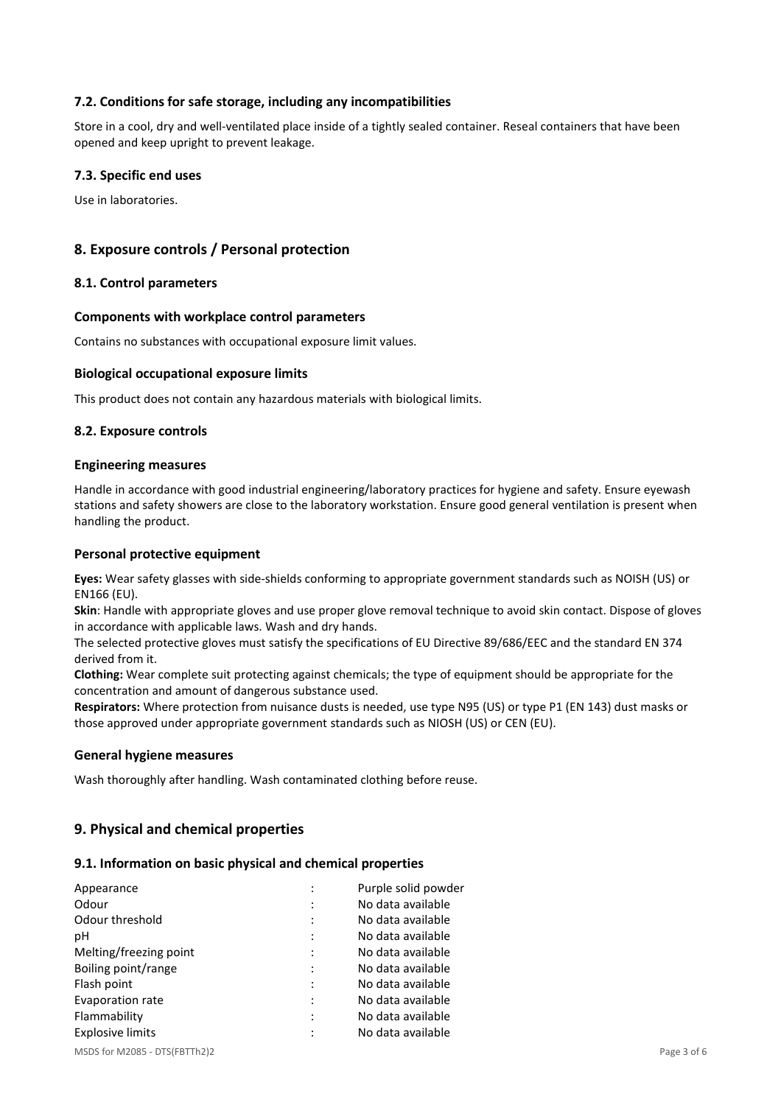## **7.2. Conditions for safe storage, including any incompatibilities**

Store in a cool, dry and well-ventilated place inside of a tightly sealed container. Reseal containers that have been opened and keep upright to prevent leakage.

## **7.3. Specific end uses**

Use in laboratories.

## **8. Exposure controls / Personal protection**

#### **8.1. Control parameters**

#### **Components with workplace control parameters**

Contains no substances with occupational exposure limit values.

#### **Biological occupational exposure limits**

This product does not contain any hazardous materials with biological limits.

#### **8.2. Exposure controls**

#### **Engineering measures**

Handle in accordance with good industrial engineering/laboratory practices for hygiene and safety. Ensure eyewash stations and safety showers are close to the laboratory workstation. Ensure good general ventilation is present when handling the product.

#### **Personal protective equipment**

**Eyes:** Wear safety glasses with side-shields conforming to appropriate government standards such as NOISH (US) or EN166 (EU).

**Skin**: Handle with appropriate gloves and use proper glove removal technique to avoid skin contact. Dispose of gloves in accordance with applicable laws. Wash and dry hands.

The selected protective gloves must satisfy the specifications of EU Directive 89/686/EEC and the standard EN 374 derived from it.

**Clothing:** Wear complete suit protecting against chemicals; the type of equipment should be appropriate for the concentration and amount of dangerous substance used.

**Respirators:** Where protection from nuisance dusts is needed, use type N95 (US) or type P1 (EN 143) dust masks or those approved under appropriate government standards such as NIOSH (US) or CEN (EU).

#### **General hygiene measures**

Wash thoroughly after handling. Wash contaminated clothing before reuse.

## **9. Physical and chemical properties**

#### **9.1. Information on basic physical and chemical properties**

| Appearance              |                | Purple solid powder |
|-------------------------|----------------|---------------------|
| Odour                   |                | No data available   |
| Odour threshold         | $\ddot{\cdot}$ | No data available   |
| рH                      | $\ddot{\cdot}$ | No data available   |
| Melting/freezing point  | ٠              | No data available   |
| Boiling point/range     |                | No data available   |
| Flash point             |                | No data available   |
| Evaporation rate        | $\ddot{\cdot}$ | No data available   |
| Flammability            |                | No data available   |
| <b>Explosive limits</b> | ٠              | No data available   |
|                         |                |                     |

MSDS for M2085 - DTS(FBTTh2)2 Page 3 of 6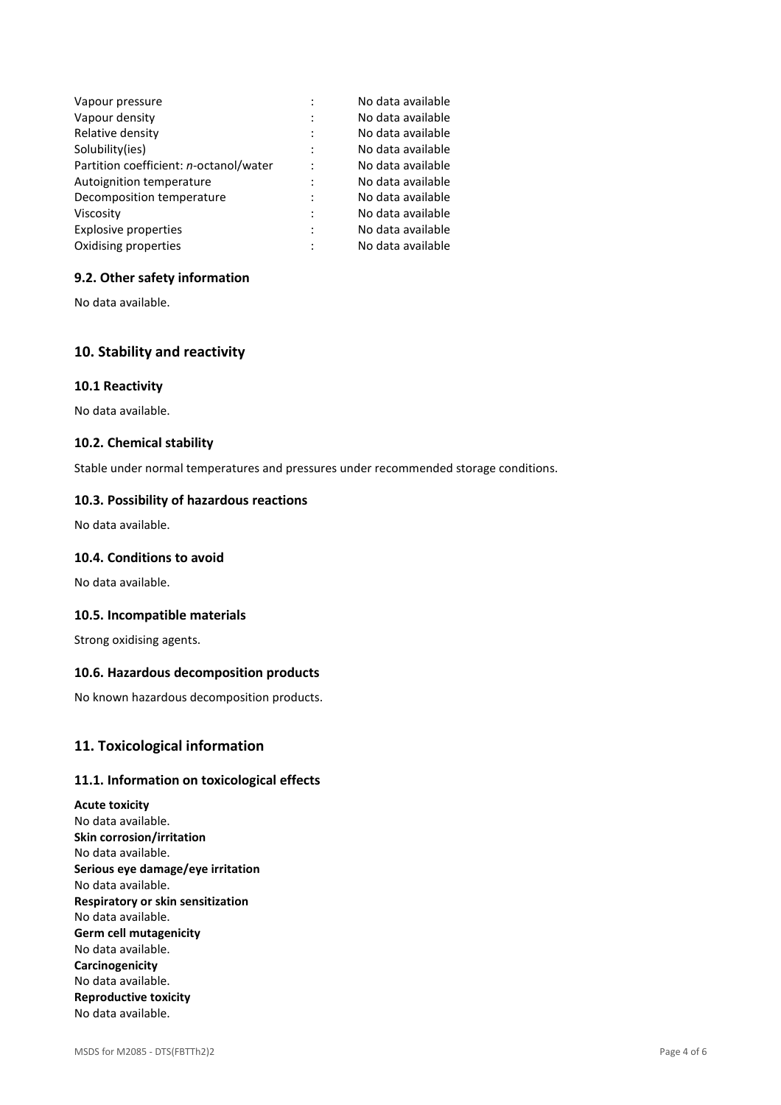| Vapour pressure                        |   | No data available |
|----------------------------------------|---|-------------------|
| Vapour density                         |   | No data available |
| Relative density                       |   | No data available |
| Solubility(ies)                        |   | No data available |
| Partition coefficient: n-octanol/water |   | No data available |
| Autoignition temperature               |   | No data available |
| Decomposition temperature              | ٠ | No data available |
| Viscosity                              |   | No data available |
| <b>Explosive properties</b>            |   | No data available |
| Oxidising properties                   |   | No data available |

## **9.2. Other safety information**

No data available.

# **10. Stability and reactivity**

#### **10.1 Reactivity**

No data available.

#### **10.2. Chemical stability**

Stable under normal temperatures and pressures under recommended storage conditions.

#### **10.3. Possibility of hazardous reactions**

No data available.

### **10.4. Conditions to avoid**

No data available.

#### **10.5. Incompatible materials**

Strong oxidising agents.

## **10.6. Hazardous decomposition products**

No known hazardous decomposition products.

### **11. Toxicological information**

#### **11.1. Information on toxicological effects**

**Acute toxicity**  No data available. **Skin corrosion/irritation**  No data available. **Serious eye damage/eye irritation**  No data available. **Respiratory or skin sensitization**  No data available. **Germ cell mutagenicity**  No data available. **Carcinogenicity**  No data available. **Reproductive toxicity**  No data available.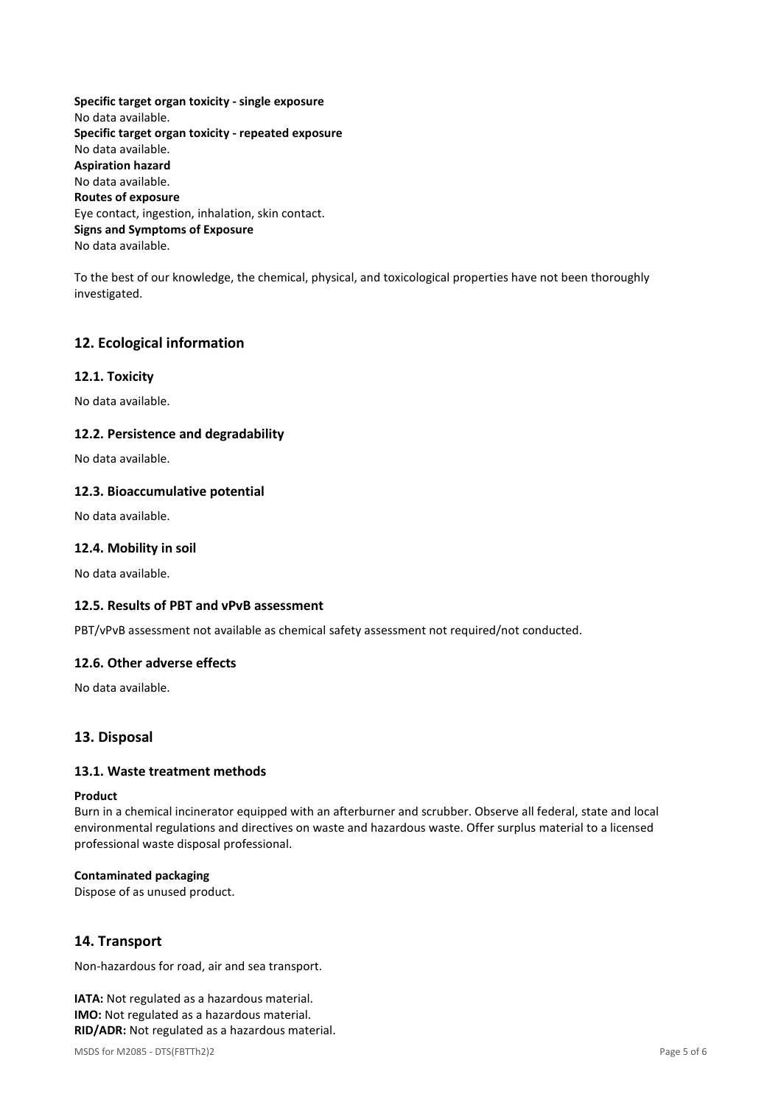**Specific target organ toxicity - single exposure**  No data available. **Specific target organ toxicity - repeated exposure**  No data available. **Aspiration hazard**  No data available. **Routes of exposure**  Eye contact, ingestion, inhalation, skin contact. **Signs and Symptoms of Exposure**  No data available.

To the best of our knowledge, the chemical, physical, and toxicological properties have not been thoroughly investigated.

# **12. Ecological information**

## **12.1. Toxicity**

No data available.

#### **12.2. Persistence and degradability**

No data available.

#### **12.3. Bioaccumulative potential**

No data available.

#### **12.4. Mobility in soil**

No data available.

### **12.5. Results of PBT and vPvB assessment**

PBT/vPvB assessment not available as chemical safety assessment not required/not conducted.

#### **12.6. Other adverse effects**

No data available.

#### **13. Disposal**

### **13.1. Waste treatment methods**

#### **Product**

Burn in a chemical incinerator equipped with an afterburner and scrubber. Observe all federal, state and local environmental regulations and directives on waste and hazardous waste. Offer surplus material to a licensed professional waste disposal professional.

#### **Contaminated packaging**

Dispose of as unused product.

## **14. Transport**

Non-hazardous for road, air and sea transport.

**IATA:** Not regulated as a hazardous material. **IMO:** Not regulated as a hazardous material. **RID/ADR:** Not regulated as a hazardous material.